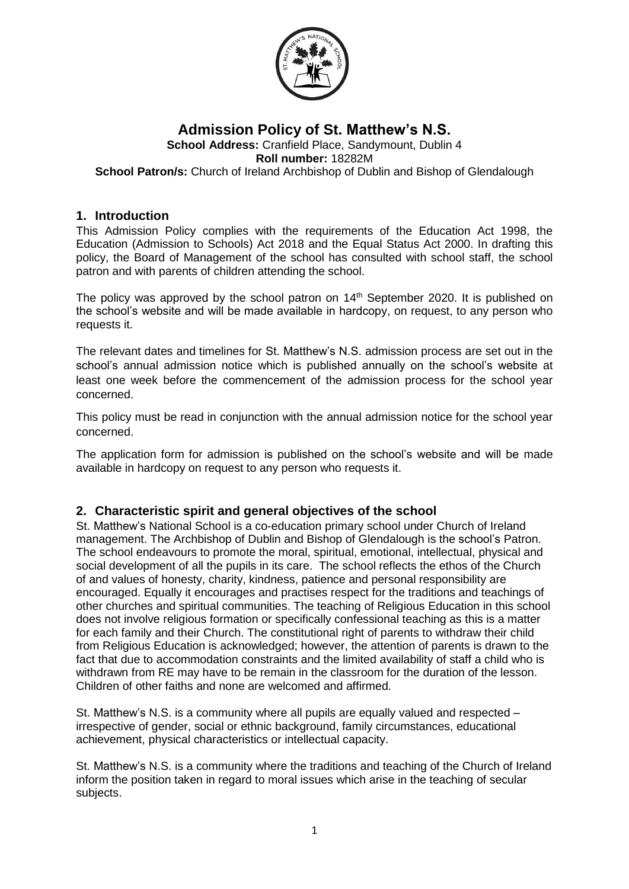

#### **Admission Policy of St. Matthew's N.S. School Address:** Cranfield Place, Sandymount, Dublin 4 **Roll number:** 18282M **School Patron/s:** Church of Ireland Archbishop of Dublin and Bishop of Glendalough

#### **1. Introduction**

This Admission Policy complies with the requirements of the Education Act 1998, the Education (Admission to Schools) Act 2018 and the Equal Status Act 2000. In drafting this policy, the Board of Management of the school has consulted with school staff, the school patron and with parents of children attending the school.

The policy was approved by the school patron on 14<sup>th</sup> September 2020. It is published on the school's website and will be made available in hardcopy, on request, to any person who requests it.

The relevant dates and timelines for St. Matthew's N.S. admission process are set out in the school's annual admission notice which is published annually on the school's website at least one week before the commencement of the admission process for the school year concerned.

This policy must be read in conjunction with the annual admission notice for the school year concerned.

The application form for admission is published on the school's website and will be made available in hardcopy on request to any person who requests it.

## **2. Characteristic spirit and general objectives of the school**

St. Matthew's National School is a co-education primary school under Church of Ireland management. The Archbishop of Dublin and Bishop of Glendalough is the school's Patron. The school endeavours to promote the moral, spiritual, emotional, intellectual, physical and social development of all the pupils in its care. The school reflects the ethos of the Church of and values of honesty, charity, kindness, patience and personal responsibility are encouraged. Equally it encourages and practises respect for the traditions and teachings of other churches and spiritual communities. The teaching of Religious Education in this school does not involve religious formation or specifically confessional teaching as this is a matter for each family and their Church. The constitutional right of parents to withdraw their child from Religious Education is acknowledged; however, the attention of parents is drawn to the fact that due to accommodation constraints and the limited availability of staff a child who is withdrawn from RE may have to be remain in the classroom for the duration of the lesson. Children of other faiths and none are welcomed and affirmed.

St. Matthew's N.S. is a community where all pupils are equally valued and respected  $$ irrespective of gender, social or ethnic background, family circumstances, educational achievement, physical characteristics or intellectual capacity.

St. Matthew's N.S. is a community where the traditions and teaching of the Church of Ireland inform the position taken in regard to moral issues which arise in the teaching of secular subjects.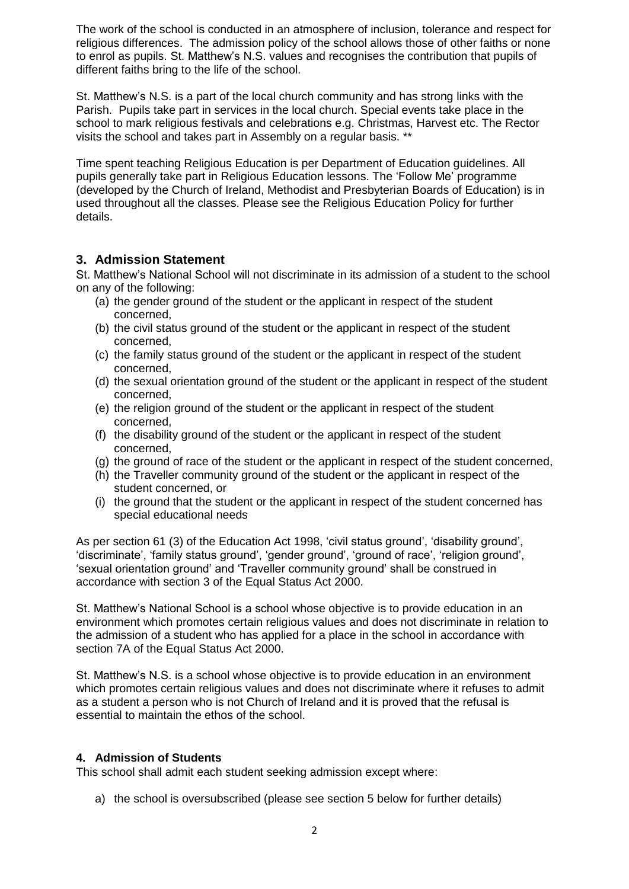The work of the school is conducted in an atmosphere of inclusion, tolerance and respect for religious differences. The admission policy of the school allows those of other faiths or none to enrol as pupils. St. Matthew's N.S. values and recognises the contribution that pupils of different faiths bring to the life of the school.

St. Matthew's N.S. is a part of the local church community and has strong links with the Parish. Pupils take part in services in the local church. Special events take place in the school to mark religious festivals and celebrations e.g. Christmas, Harvest etc. The Rector visits the school and takes part in Assembly on a regular basis. \*\*

Time spent teaching Religious Education is per Department of Education guidelines. All pupils generally take part in Religious Education lessons. The 'Follow Me' programme (developed by the Church of Ireland, Methodist and Presbyterian Boards of Education) is in used throughout all the classes. Please see the Religious Education Policy for further details.

## **3. Admission Statement**

St. Matthew's National School will not discriminate in its admission of a student to the school on any of the following:

- (a) the gender ground of the student or the applicant in respect of the student concerned,
- (b) the civil status ground of the student or the applicant in respect of the student concerned,
- (c) the family status ground of the student or the applicant in respect of the student concerned,
- (d) the sexual orientation ground of the student or the applicant in respect of the student concerned,
- (e) the religion ground of the student or the applicant in respect of the student concerned,
- (f) the disability ground of the student or the applicant in respect of the student concerned,
- (g) the ground of race of the student or the applicant in respect of the student concerned,
- (h) the Traveller community ground of the student or the applicant in respect of the student concerned, or
- (i) the ground that the student or the applicant in respect of the student concerned has special educational needs

As per section 61 (3) of the Education Act 1998, 'civil status ground', 'disability ground', 'discriminate', 'family status ground', 'gender ground', 'ground of race', 'religion ground', 'sexual orientation ground' and 'Traveller community ground' shall be construed in accordance with section 3 of the Equal Status Act 2000.

St. Matthew's National School is a school whose objective is to provide education in an environment which promotes certain religious values and does not discriminate in relation to the admission of a student who has applied for a place in the school in accordance with section 7A of the Equal Status Act 2000.

St. Matthew's N.S. is a school whose objective is to provide education in an environment which promotes certain religious values and does not discriminate where it refuses to admit as a student a person who is not Church of Ireland and it is proved that the refusal is essential to maintain the ethos of the school.

## **4. Admission of Students**

This school shall admit each student seeking admission except where:

a) the school is oversubscribed (please see section 5 below for further details)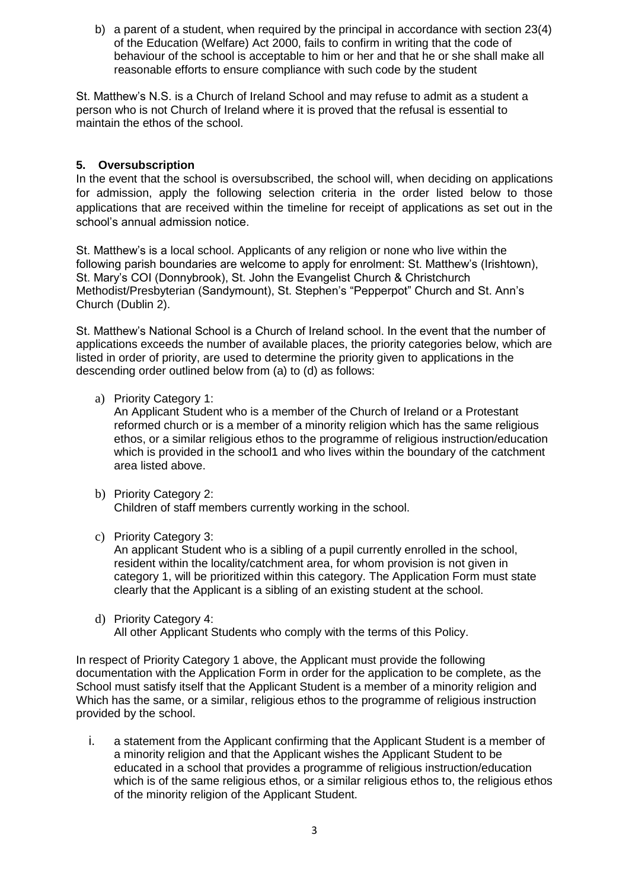b) a parent of a student, when required by the principal in accordance with section 23(4) of the Education (Welfare) Act 2000, fails to confirm in writing that the code of behaviour of the school is acceptable to him or her and that he or she shall make all reasonable efforts to ensure compliance with such code by the student

St. Matthew's N.S. is a Church of Ireland School and may refuse to admit as a student a person who is not Church of Ireland where it is proved that the refusal is essential to maintain the ethos of the school.

#### **5. Oversubscription**

In the event that the school is oversubscribed, the school will, when deciding on applications for admission, apply the following selection criteria in the order listed below to those applications that are received within the timeline for receipt of applications as set out in the school's annual admission notice.

St. Matthew's is a local school. Applicants of any religion or none who live within the following parish boundaries are welcome to apply for enrolment: St. Matthew's (Irishtown), St. Mary's COI (Donnybrook), St. John the Evangelist Church & Christchurch Methodist/Presbyterian (Sandymount), St. Stephen's "Pepperpot" Church and St. Ann's Church (Dublin 2).

St. Matthew's National School is a Church of Ireland school. In the event that the number of applications exceeds the number of available places, the priority categories below, which are listed in order of priority, are used to determine the priority given to applications in the descending order outlined below from (a) to (d) as follows:

a) Priority Category 1:

An Applicant Student who is a member of the Church of Ireland or a Protestant reformed church or is a member of a minority religion which has the same religious ethos, or a similar religious ethos to the programme of religious instruction/education which is provided in the school1 and who lives within the boundary of the catchment area listed above.

- b) Priority Category 2: Children of staff members currently working in the school.
- c) Priority Category 3:

An applicant Student who is a sibling of a pupil currently enrolled in the school, resident within the locality/catchment area, for whom provision is not given in category 1, will be prioritized within this category. The Application Form must state clearly that the Applicant is a sibling of an existing student at the school.

d) Priority Category 4: All other Applicant Students who comply with the terms of this Policy.

In respect of Priority Category 1 above, the Applicant must provide the following documentation with the Application Form in order for the application to be complete, as the School must satisfy itself that the Applicant Student is a member of a minority religion and Which has the same, or a similar, religious ethos to the programme of religious instruction provided by the school.

i. a statement from the Applicant confirming that the Applicant Student is a member of a minority religion and that the Applicant wishes the Applicant Student to be educated in a school that provides a programme of religious instruction/education which is of the same religious ethos, or a similar religious ethos to, the religious ethos of the minority religion of the Applicant Student.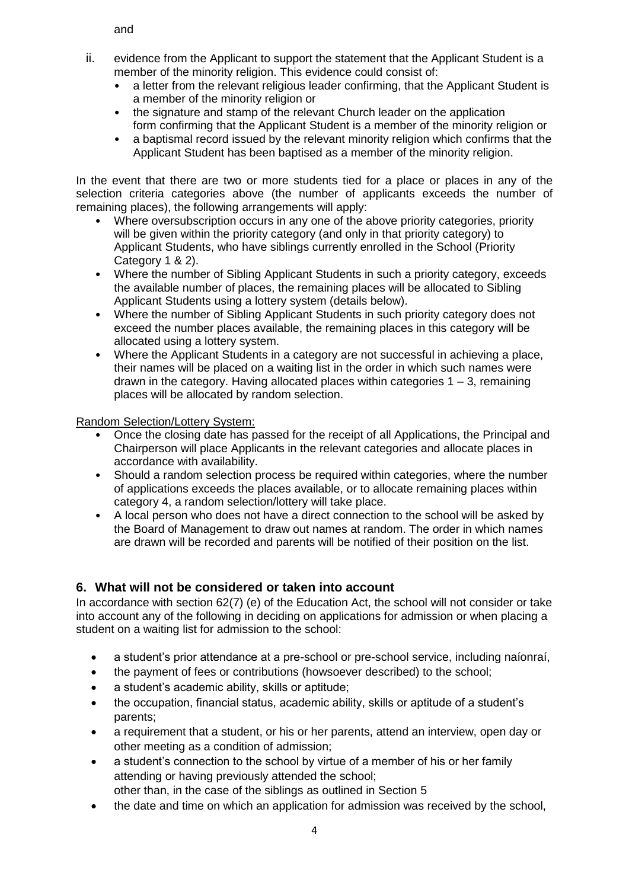and

- ii. evidence from the Applicant to support the statement that the Applicant Student is a member of the minority religion. This evidence could consist of:
	- a letter from the relevant religious leader confirming, that the Applicant Student is a member of the minority religion or
	- the signature and stamp of the relevant Church leader on the application form confirming that the Applicant Student is a member of the minority religion or
	- a baptismal record issued by the relevant minority religion which confirms that the Applicant Student has been baptised as a member of the minority religion.

In the event that there are two or more students tied for a place or places in any of the selection criteria categories above (the number of applicants exceeds the number of remaining places), the following arrangements will apply:

- Where oversubscription occurs in any one of the above priority categories, priority will be given within the priority category (and only in that priority category) to Applicant Students, who have siblings currently enrolled in the School (Priority Category 1 & 2).
- Where the number of Sibling Applicant Students in such a priority category, exceeds the available number of places, the remaining places will be allocated to Sibling Applicant Students using a lottery system (details below).
- Where the number of Sibling Applicant Students in such priority category does not exceed the number places available, the remaining places in this category will be allocated using a lottery system.
- Where the Applicant Students in a category are not successful in achieving a place, their names will be placed on a waiting list in the order in which such names were drawn in the category. Having allocated places within categories  $1 - 3$ , remaining places will be allocated by random selection.

Random Selection/Lottery System:

- Once the closing date has passed for the receipt of all Applications, the Principal and Chairperson will place Applicants in the relevant categories and allocate places in accordance with availability.
- Should a random selection process be required within categories, where the number of applications exceeds the places available, or to allocate remaining places within category 4, a random selection/lottery will take place.
- A local person who does not have a direct connection to the school will be asked by the Board of Management to draw out names at random. The order in which names are drawn will be recorded and parents will be notified of their position on the list.

# **6. What will not be considered or taken into account**

In accordance with section 62(7) (e) of the Education Act, the school will not consider or take into account any of the following in deciding on applications for admission or when placing a student on a waiting list for admission to the school:

- a student's prior attendance at a pre-school or pre-school service, including naíonraí,
- the payment of fees or contributions (howsoever described) to the school;
- a student's academic ability, skills or aptitude;
- the occupation, financial status, academic ability, skills or aptitude of a student's parents;
- a requirement that a student, or his or her parents, attend an interview, open day or other meeting as a condition of admission;
- a student's connection to the school by virtue of a member of his or her family attending or having previously attended the school;
- other than, in the case of the siblings as outlined in Section 5
- the date and time on which an application for admission was received by the school,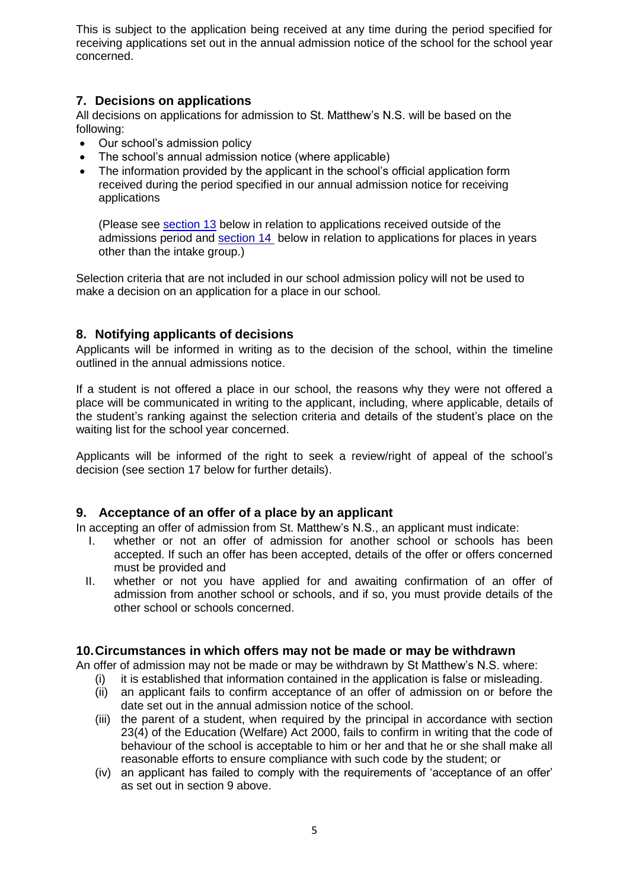This is subject to the application being received at any time during the period specified for receiving applications set out in the annual admission notice of the school for the school year concerned.

## **7. Decisions on applications**

All decisions on applications for admission to St. Matthew's N.S. will be based on the following:

- Our school's admission policy
- The school's annual admission notice (where applicable)
- The information provided by the applicant in the school's official application form received during the period specified in our annual admission notice for receiving applications

(Please see [section 13](#page-6-0) below in relation to applications received outside of the admissions period and [section 14](#page-6-1) below in relation to applications for places in years other than the intake group.)

Selection criteria that are not included in our school admission policy will not be used to make a decision on an application for a place in our school.

## **8. Notifying applicants of decisions**

Applicants will be informed in writing as to the decision of the school, within the timeline outlined in the annual admissions notice.

If a student is not offered a place in our school, the reasons why they were not offered a place will be communicated in writing to the applicant, including, where applicable, details of the student's ranking against the selection criteria and details of the student's place on the waiting list for the school year concerned.

Applicants will be informed of the right to seek a review/right of appeal of the school's decision (see section 17 below for further details).

## **9. Acceptance of an offer of a place by an applicant**

In accepting an offer of admission from St. Matthew's N.S., an applicant must indicate:

- I. whether or not an offer of admission for another school or schools has been accepted. If such an offer has been accepted, details of the offer or offers concerned must be provided and
- II. whether or not you have applied for and awaiting confirmation of an offer of admission from another school or schools, and if so, you must provide details of the other school or schools concerned.

## **10.Circumstances in which offers may not be made or may be withdrawn**

An offer of admission may not be made or may be withdrawn by St Matthew's N.S. where:

- (i) it is established that information contained in the application is false or misleading.
- (ii) an applicant fails to confirm acceptance of an offer of admission on or before the date set out in the annual admission notice of the school.
- (iii) the parent of a student, when required by the principal in accordance with section 23(4) of the Education (Welfare) Act 2000, fails to confirm in writing that the code of behaviour of the school is acceptable to him or her and that he or she shall make all reasonable efforts to ensure compliance with such code by the student; or
- (iv) an applicant has failed to comply with the requirements of 'acceptance of an offer' as set out in section 9 above.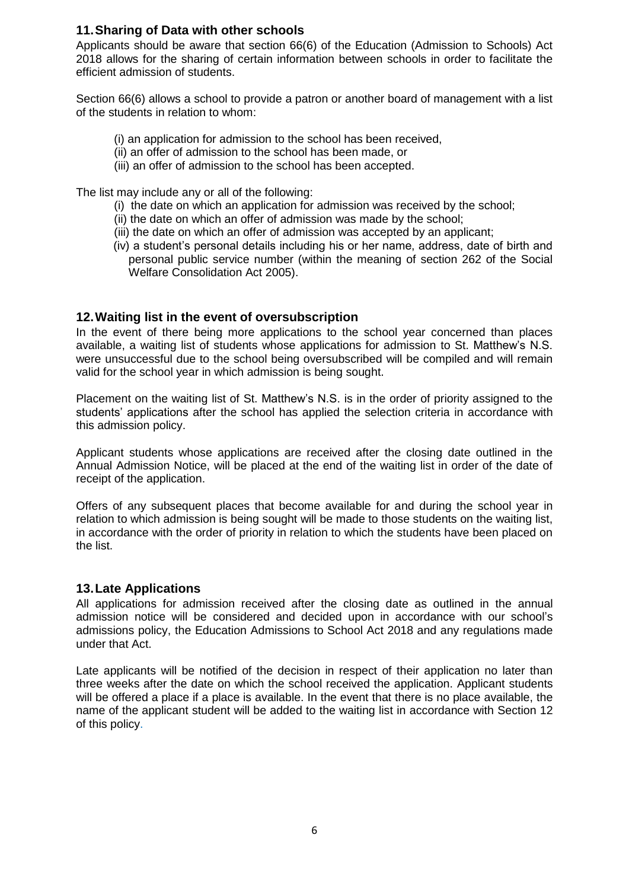## **11.Sharing of Data with other schools**

Applicants should be aware that section 66(6) of the Education (Admission to Schools) Act 2018 allows for the sharing of certain information between schools in order to facilitate the efficient admission of students.

Section 66(6) allows a school to provide a patron or another board of management with a list of the students in relation to whom:

- (i) an application for admission to the school has been received,
- (ii) an offer of admission to the school has been made, or
- (iii) an offer of admission to the school has been accepted.

The list may include any or all of the following:

- (i) the date on which an application for admission was received by the school;
- (ii) the date on which an offer of admission was made by the school;
- (iii) the date on which an offer of admission was accepted by an applicant;
- (iv) a student's personal details including his or her name, address, date of birth and personal public service number (within the meaning of section 262 of the Social Welfare Consolidation Act 2005).

## **12.Waiting list in the event of oversubscription**

In the event of there being more applications to the school year concerned than places available, a waiting list of students whose applications for admission to St. Matthew's N.S. were unsuccessful due to the school being oversubscribed will be compiled and will remain valid for the school year in which admission is being sought.

Placement on the waiting list of St. Matthew's N.S. is in the order of priority assigned to the students' applications after the school has applied the selection criteria in accordance with this admission policy.

Applicant students whose applications are received after the closing date outlined in the Annual Admission Notice, will be placed at the end of the waiting list in order of the date of receipt of the application.

Offers of any subsequent places that become available for and during the school year in relation to which admission is being sought will be made to those students on the waiting list, in accordance with the order of priority in relation to which the students have been placed on the list.

## **13.Late Applications**

All applications for admission received after the closing date as outlined in the annual admission notice will be considered and decided upon in accordance with our school's admissions policy, the Education Admissions to School Act 2018 and any regulations made under that Act.

Late applicants will be notified of the decision in respect of their application no later than three weeks after the date on which the school received the application. Applicant students will be offered a place if a place is available. In the event that there is no place available, the name of the applicant student will be added to the waiting list in accordance with Section 12 of this policy.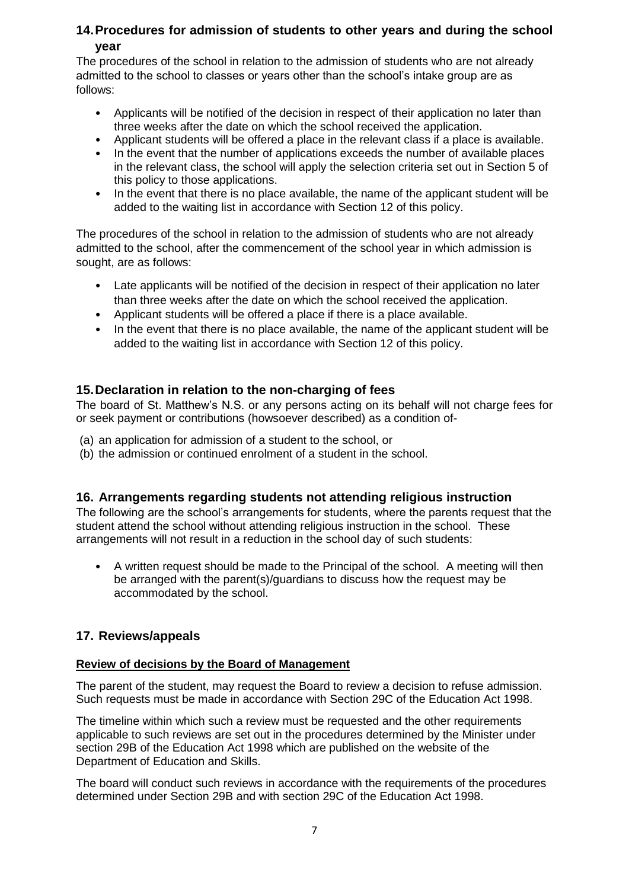# <span id="page-6-0"></span>**14.Procedures for admission of students to other years and during the school year**

The procedures of the school in relation to the admission of students who are not already admitted to the school to classes or years other than the school's intake group are as follows:

- Applicants will be notified of the decision in respect of their application no later than three weeks after the date on which the school received the application.
- Applicant students will be offered a place in the relevant class if a place is available.
- In the event that the number of applications exceeds the number of available places in the relevant class, the school will apply the selection criteria set out in Section 5 of this policy to those applications.
- In the event that there is no place available, the name of the applicant student will be added to the waiting list in accordance with Section 12 of this policy.

The procedures of the school in relation to the admission of students who are not already admitted to the school, after the commencement of the school year in which admission is sought, are as follows:

- Late applicants will be notified of the decision in respect of their application no later than three weeks after the date on which the school received the application.
- Applicant students will be offered a place if there is a place available.
- In the event that there is no place available, the name of the applicant student will be added to the waiting list in accordance with Section 12 of this policy.

## <span id="page-6-1"></span>**15.Declaration in relation to the non-charging of fees**

The board of St. Matthew's N.S. or any persons acting on its behalf will not charge fees for or seek payment or contributions (howsoever described) as a condition of-

- (a) an application for admission of a student to the school, or
- (b) the admission or continued enrolment of a student in the school.

## **16. Arrangements regarding students not attending religious instruction**

The following are the school's arrangements for students, where the parents request that the student attend the school without attending religious instruction in the school. These arrangements will not result in a reduction in the school day of such students:

• A written request should be made to the Principal of the school. A meeting will then be arranged with the parent(s)/guardians to discuss how the request may be accommodated by the school.

## **17. Reviews/appeals**

#### **Review of decisions by the Board of Management**

The parent of the student, may request the Board to review a decision to refuse admission. Such requests must be made in accordance with Section 29C of the Education Act 1998.

The timeline within which such a review must be requested and the other requirements applicable to such reviews are set out in the procedures determined by the Minister under section 29B of the Education Act 1998 which are published on the website of the Department of Education and Skills.

The board will conduct such reviews in accordance with the requirements of the procedures determined under Section 29B and with section 29C of the Education Act 1998.